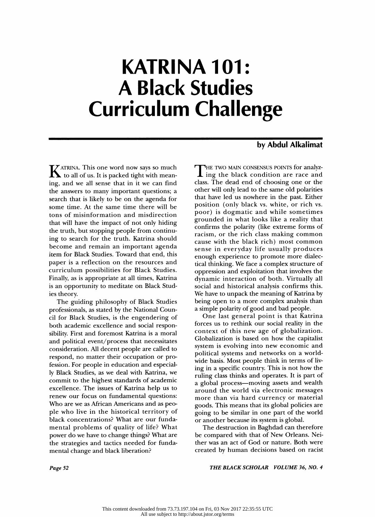# KATRINA 101: A Black Studies Curriculum Challenge

# by Abdul Alkalimat

ATRINA. This one word now says so much to all of us. It is packed tight with mean ing, and we all sense that in it we can find the answers to many important questions; a search that is likely to be on the agenda for some time. At the same time there will be tons of misinformation and misdirection that will have the impact of not only hiding the truth, but stopping people from continu ing to search for the truth. Katrina should become and remain an important agenda item for Black Studies. Toward that end, this paper is a reflection on the resources and curriculum possibilities for Black Studies. Finally, as is appropriate at all times, Katrina is an opportunity to meditate on Black Stud ies theory.

 The guiding philosophy of Black Studies professionals, as stated by the National Coun cil for Black Studies, is the engendering of both academic excellence and social respon sibility. First and foremost Katrina is a moral and political event/process that necessitates consideration. All decent people are called to respond, no matter their occupation or pro fession. For people in education and especial ly Black Studies, as we deal with Katrina, we commit to the highest standards of academic excellence. The issues of Katrina help us to renew our focus on fundamental questions: Who are we as African Americans and as peo ple who live in the historical territory of black concentrations? What are our funda mental problems of quality of life? What power do we have to change things? What are the strategies and tactics needed for funda mental change and black liberation?

THE TWO MAIN CONSENSUS POINTS for analyz- $\mathbf 1$  ing the black condition are race and class. The dead end of choosing one or the other will only lead to the same old polarities that have led us nowhere in the past. Either position (only black vs. white, or rich vs. poor) is dogmatic and while sometimes grounded in what looks like a reality that confirms the polarity (like extreme forms of racism, or the rich class making common cause with the black rich) most common sense in everyday life usually produces enough experience to promote more dialec tical thinking. We face a complex structure of oppression and exploitation that involves the dynamic interaction of both. Virtually all social and historical analysis confirms this. We have to unpack the meaning of Katrina by being open to a more complex analysis than a simple polarity of good and bad people.

 One last general point is that Katrina forces us to rethink our social reality in the context of this new age of globalization. Globalization is based on how the capitalist system is evolving into new economic and political systems and networks on a world wide basis. Most people think in terms of liv ing in a specific country. This is not how the ruling class thinks and operates. It is part of a global process-moving assets and wealth around the world via electronic messages more than via hard currency or material goods. This means that its global policies are going to be similar in one part of the world or another because its system is global.

 The destruction in Baghdad can therefore be compared with that of New Orleans. Nei ther was an act of God or nature. Both were created by human decisions based on racist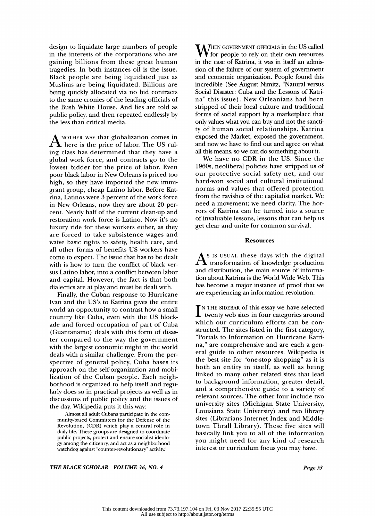design to liquidate large numbers of people in the interests of the corporations who are gaining billions from these great human tragedies. In both instances oil is the issue. Black people are being liquidated just as Muslims are being liquidated. Billions are being quickly allocated via no bid contracts to the same cronies of the leading officials of the Bush White House. And lies are told as public policy, and then repeated endlessly by the less than critical media.

NOTHER WAY that globalization comes in  $\Lambda$  here is the price of labor. The US rul ing class has determined that they have a global work force, and contracts go to the lowest bidder for the price of labor. Even poor black labor in New Orleans is priced too high, so they have imported the new immi grant group, cheap Latino labor. Before Kat rina, Latinos were 3 percent of the work force in New Orleans, now they are about 20 per cent. Nearly half of the current clean-up and restoration work force is Latino. Now it's no luxury ride for these workers either, as they are forced to take subsistence wages and waive basic rights to safety, health care, and all other forms of benefits US workers have come to expect. The issue that has to be dealt with is how to turn the conflict of black ver sus Latino labor, into a conflict between labor and capital. However, the fact is that both dialectics are at play and must be dealt with.

 Finally, the Cuban response to Hurricane Ivan and the US's to Katrina gives the entire world an opportunity to contrast how a small country like Cuba, even with the US block ade and forced occupation of part of Cuba (Guantanamo) deals with this form of disas ter compared to the way the government with the largest economic might in the world deals with a similar challenge. From the per spective of general policy, Cuba bases its approach on the self-organization and mobi lization of the Cuban people. Each neigh borhood is organized to help itself and regu larly does so in practical projects as well as in discussions of public policy and the issues of the day. Wikipedia puts it this way:

 Almost all adult Cubans participate in the com munity-based Committees for the Defense of the Revolution, (CDR) which play a central role in daily life. These groups are designed to coordinate public projects, protect and ensure socialist ideolo gy among the citizenry, and act as a neighborhood watchdog against "counter-revolutionary" activity.<sup>1</sup>

THEN GOVERNMENT OFFICIALS in the US called  $\sqrt{V}$  for people to rely on their own resources in the case of Katrina, it was in itself an admis sion of the failure of our system of government and economic organization. People found this incredible (See August Nimitz, "Natural versus Social Disaster: Cuba and the Lessons of Katri na" this issue). New Orleanians had been stripped of their local culture and traditional forms of social support by a marketplace that only values what you can buy and not the sancti ty of human social relationships. Katrina exposed the Market, exposed the government, and now we have to find out and agree on what all this means, so we can do something about it.

 We have no CDR in the US. Since the 1960s, neoliberal policies have stripped us of our protective social safety net, and our hard-won social and cultural institutional norms and values that offered protection from the ravishes of the capitalist market. We need a movement; we need clarity. The hor rors of Katrina can be turned into a source of invaluable lessons, lessons that can help us get clear and unite for common survival.

#### **Resources**

s is usual these days with the digital . transformation of knowledge production and distribution, the main source of informa tion about Katrina is the World Wide Web. This has become a major instance of proof that we are experiencing an information revolution.

IN THE SIDEBAR of this essay we have selected  $\mathbf 1$  twenty web sites in four categories around which our curriculum efforts can be con structed. The sites listed in the first category, "Portals to Information on Hurricane Katri na," are comprehensive and are each a gen eral guide to other resources. Wikipedia is the best site for "one-stop shopping" as it is both an entity in itself, as well as being linked to many other related sites that lead to background information, greater detail, and a comprehensive guide to a variety of relevant sources. The other four include two university sites (Michigan State University, Louisiana State University) and two library sites (Librarians Internet Index and Middle town Thrall Library). These five sites will basically link you to all of the information you might need for any kind of research interest or curriculum focus you may have.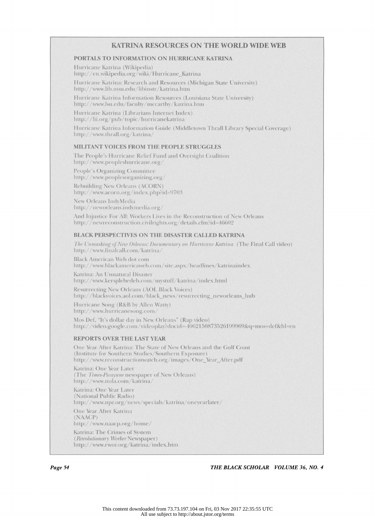# KATRINA RESOURCES ON THE WORLD WIDE WEB

#### PORTALS TO INFORMATION ON HURRICANE KATRINA

Hurricane Katrina (Wikipedia) http://en.wikipedia.org/wiki/Hurricane Katrina

 Hurricane Katrina: Research and Resources (Michigan State University) http://www.lib.msu.edu/libinstr/katrina.htm

 Hurricane Katrina Information Resources (Louisiana State University) http://www.lsu.edu/faculty/mccarthy/katrina.htm

 Hurricane Katrina (Librarians Internet Index) http://lii.org/pub/topic/hurricanekatrina

 Hurricane Katrina Information Guide (Middletown Thrall Library Special Coverage) http://www.thrall.org/katrina/

#### MILITANT VOICES FROM THE PEOPLE STRUGGLES

 The People's Hurricane Relief Fund and Oversight Coalition http://www.peopleshurricane.org/

 People's Organizing Committee http://www.peoplesorganizing.org/

 Rebuilding New Orleans (ACORN) http://www.acorn.org/index.php?id=9703

 New Orleans IndyMedia http://neworleans.indymedia.org/

 And Injustice For All: Workers Lives in the Reconstruction of New Orleans http://newreconstruction.civilrights.org/details.cfm?id=46602

#### BLACK PERSPECTIVES ON THE DISASTER CALLED KATRINA

 The Unmasking of Nexo Orleans: Documentary on Hurricane Katrina (The Final Call video) http://www.finalcall.com/katrina/

 Black American Web dot com http://www.blackamericaweb.com/site.aspx/headlines/katrinaindex

 Katrina: An Unnatural Disaster http://www.kersplebedeb.com/mystuff/katrina/index.html

 Resurrecting New Orleans (AOL Black Voices) http://blackvoices.aol.com/black\_news/resurrecting\_neworleans\_hub

 Hurricane Song (R&B by Allen Watty) http://www.hurricanesong.com/

 Mos Def, "It's dollar day in New Orleans" (Rap video) http://video.google.com/videoplay?docid=-4062150873526199969&q=mos+def&hl=en

#### REPORTS OVER THE LAST YEAR

 One Year After Katrina: The State of New Orleans and the Gulf Coast (Institute for Southern Studies/Southern Exposure) http://www.reconstructionwatch.org/images/One\_Year\_After.pdf

 Katrina: One Year Later (The Times-Picayune newspaper of New Orleans) http://www.nola.com/katrina/

 Katrina: One Year Later (National Public Radio) http://www.npr.org/news/specials/katrina/oneyearlater/

 One Year After Katrina (NAACP) http://www.naacp.org/home/

 Katrina: The Crimes of System (Revolutionary Worker Newspaper) http://www.rwor.org/katrina/index.htm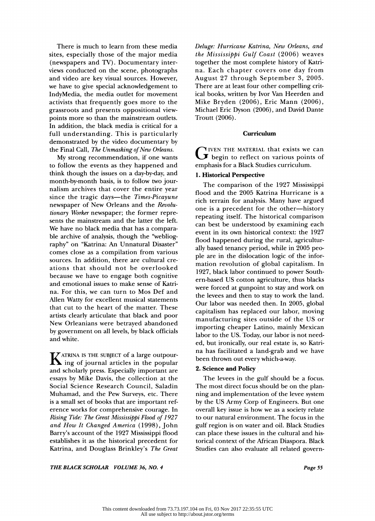There is much to learn from these media sites, especially those of the major media (newspapers and TV). Documentary inter views conducted on the scene, photographs and video are key visual sources. However, we have to give special acknowledgement to IndyMedia, the media outlet for movement activists that frequently goes more to the grassroots and presents oppositional view points more so than the mainstream outlets. In addition, the black media is critical for a full understanding. This is particularly demonstrated by the video documentary by the Final Call, The Unmasking of New Orleans.

 My strong recommendation, if one wants to follow the events as they happened and think though the issues on a day-by-day, and month-by-month basis, is to follow two jour nalism archives that cover the entire year since the tragic days—the  $Times-Picayune$  newspaper of New Orleans and the Revolu tionary Worker newspaper; the former repre sents the mainstream and the latter the left. We have no black media that has a compara ble archive of analysis, though the "webliog raphy" on "Katrina: An Unnatural Disaster" comes close as a compilation from various sources. In addition, there are cultural cre ations that should not be overlooked because we have to engage both cognitive and emotional issues to make sense of Katri na. For this, we can turn to Mos Def and Allen Watty for excellent musical statements that cut to the heart of the matter. These artists clearly articulate that black and poor New Orleanians were betrayed abandoned by government on all levels, by black officials and white.

 $\boldsymbol{K}$  ATRINA IS THE SUBJECT of a large outpour and scholarly press. Especially important are essays by Mike Davis, the collection at the Social Science Research Council, Saladin Muhamad, and the Pew Surveys, etc. There is a small set of books that are important ref erence works for comprehensive courage. In Rising Tide: The Great Mississippi Flood of 1927 and How It Changed America (1998), John Barry's account of the 1927 Mississippi flood establishes it as the historical precedent for Katrina, and Douglass Brinkley's The Great

 Deluge: Hurricane Katrina, New Orleans, and the Mississippi Gulf Coast (2006) weaves together the most complete history of Katri na. Each chapter covers one day from August 27 through September 3, 2005. There are at least four other compelling crit ical books, written by Ivor Van Heerden and Mike Bryden (2006), Eric Mann (2006), Michael Eric Dyson (2006), and David Dante Troutt(2006).

#### Curriculum

TIVEN THE MATERIAL that exists we can  $\mathbf U$  begin to reflect on various points of emphasis for a Black Studies curriculum.

#### 1. Historical Perspective

 The comparison of the 1927 Mississippi flood and the 2005 Katrina Hurricane is a rich terrain for analysis. Many have argued one is a precedent for the other-history repeating itself. The historical comparison can best be understood by examining each event in its own historical context: the 1927 flood happened during the rural, agricultur ally based tenancy period, while in 2005 peo ple are in the dislocation logic of the infor mation revolution of global capitalism. In 1927, black labor continued to power South ern-based US cotton agriculture, thus blacks were forced at gunpoint to stay and work on the levees and then to stay to work the land. Our labor was needed then. In 2005, global capitalism has replaced our labor, moving manufacturing sites outside of the US or importing cheaper Latino, mainly Mexican labor to the US. Today, our labor is not need ed, but ironically, our real estate is, so Katri na has facilitated a land-grab and we have been thrown out every which-a-way.

#### 2. Science and Policy

 The levees in the gulf should be a focus. The most direct focus should be on the plan ning and implementation of the levee system by the US Army Corp of Engineers. But one overall key issue is how we as a society relate to our natural environment. The focus in the gulf region is on water and oil. Black Studies can place these issues in the cultural and his torical context of the African Diaspora. Black Studies can also evaluate all related govern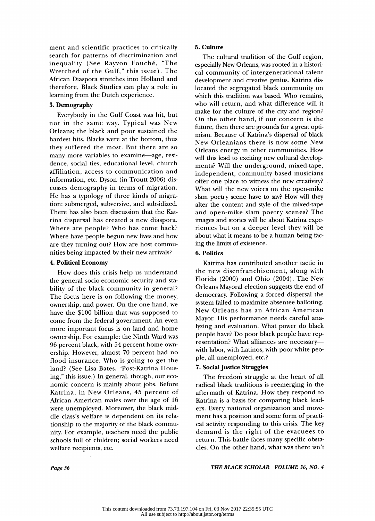ment and scientific practices to critically search for patterns of discrimination and inequality (See Rayvon Fouché, "The Wretched of the Gulf," this issue). The African Diaspora stretches into Holland and therefore, Black Studies can play a role in learning from the Dutch experience.

# 3. Demography

 Everybody in the Gulf Coast was hit, but not in the same way. Typical was New Orleans; the black and poor sustained the hardest hits. Blacks were at the bottom, thus they suffered the most. But there are so many more variables to examine-age, resi dence, social ties, educational level, church affiliation, access to communication and information, etc. Dyson (in Troutt 2006) dis cusses demography in terms of migration. He has a typology of three kinds of migra tion: submerged, subversive, and subsidized. There has also been discussion that the Kat rina dispersal has created a new diaspora. Where are people? Who has come back? Where have people begun new lives and how are they turning out? How are host commu nities being impacted by their new arrivals?

# 4. Political Economy

 How does this crisis help us understand the general socio-economic security and sta bility of the black community in general? The focus here is on following the money, ownership, and power. On the one hand, we have the \$100 billion that was supposed to come from the federal government. An even more important focus is on land and home ownership. For example: the Ninth Ward was 96 percent black, with 54 percent home own ership. However, almost 70 percent had no flood insurance. Who is going to get the land? (See Lisa Bates, "Post-Katrina Hous ing," this issue.) In general, though, our eco nomic concern is mainly about jobs. Before Katrina, in New Orleans, 45 percent of African American males over the age of 16 were unemployed. Moreover, the black mid dle class's welfare is dependent on its rela tionship to the majority of the black commu nity. For example, teachers need the public schools full of children; social workers need welfare recipients, etc.

### 5. Culture

 The cultural tradition of the Gulf region, especially New Orleans, was rooted in a histori cal community of intergenerational talent development and creative genius. Katrina dis located the segregated black community on which this tradition was based. Who remains, who will return, and what difference will it make for the culture of the city and region? On the other hand, if our concern is the future, then there are grounds for a great opti mism. Because of Katrina's dispersal of black New Orleanians there is now some New Orleans energy in other communities. How will this lead to exciting new cultural develop ments? Will the underground, mixed-tape, independent, community based musicians offer one place to witness the new creativity? What will the new voices on the open-mike slam poetry scene have to say? How will they alter the content and style of the mixed-tape and open-mike slam poetry scenes? The images and stories will be about Katrina expe riences but on a deeper level they will be about what it means to be a human being fac ing the limits of existence.

# 6. Politics

 Katrina has contributed another tactic in the new disenfranchisement, along with Florida (2000) and Ohio (2004). The New Orleans Mayoral election suggests the end of democracy. Following a forced dispersal the system failed to maximize absentee balloting. New Orleans has an African American Mayor. His performance needs careful ana lyzing and evaluation. What power do black people have? Do poor black people have rep resentation? What alliances are necessary with labor, with Latinos, with poor white peo ple, all unemployed, etc.?

# 7. Social Justice Struggles

 The freedom struggle at the heart of all radical black traditions is reemerging in the aftermath of Katrina. How they respond to Katrina is a basis for comparing black lead ers. Every national organization and move ment has a position and some form of practi cal activity responding to this crisis. The key demand is the right of the evacuees to return. This battle faces many specific obsta cles. On the other hand, what was there isn't